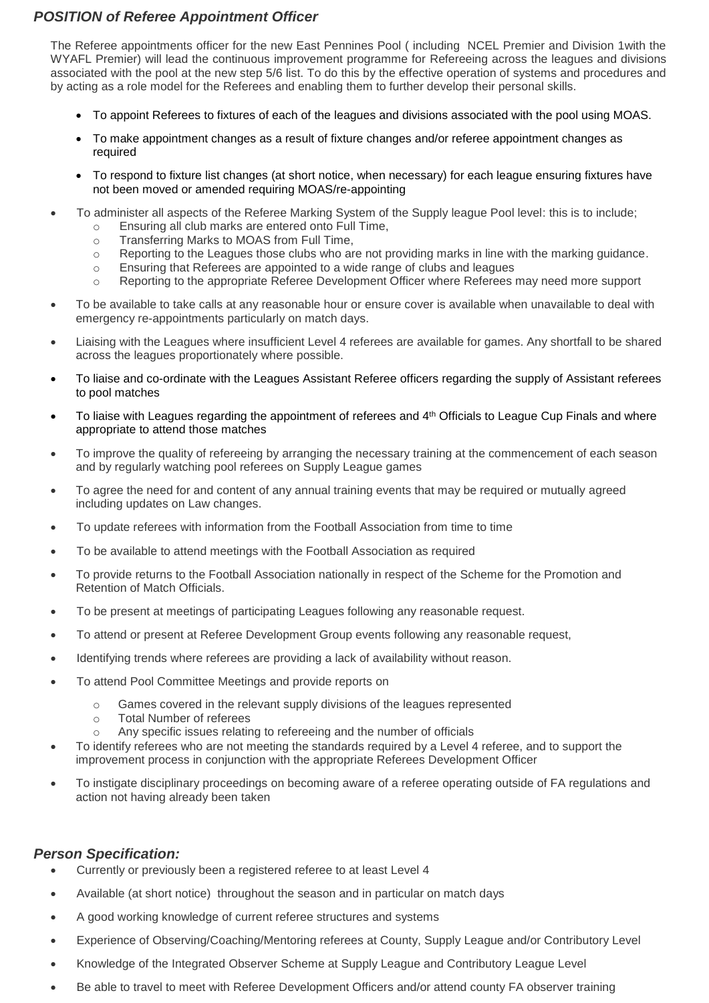## *POSITION of Referee Appointment Officer*

The Referee appointments officer for the new East Pennines Pool ( including NCEL Premier and Division 1with the WYAFL Premier) will lead the continuous improvement programme for Refereeing across the leagues and divisions associated with the pool at the new step 5/6 list. To do this by the effective operation of systems and procedures and by acting as a role model for the Referees and enabling them to further develop their personal skills.

- To appoint Referees to fixtures of each of the leagues and divisions associated with the pool using MOAS.
- To make appointment changes as a result of fixture changes and/or referee appointment changes as required
- To respond to fixture list changes (at short notice, when necessary) for each league ensuring fixtures have not been moved or amended requiring MOAS/re-appointing
- To administer all aspects of the Referee Marking System of the Supply league Pool level: this is to include;
	- o Ensuring all club marks are entered onto Full Time,
	- o Transferring Marks to MOAS from Full Time,
	- o Reporting to the Leagues those clubs who are not providing marks in line with the marking guidance.
	- o Ensuring that Referees are appointed to a wide range of clubs and leagues
	- o Reporting to the appropriate Referee Development Officer where Referees may need more support
- To be available to take calls at any reasonable hour or ensure cover is available when unavailable to deal with emergency re-appointments particularly on match days.
- Liaising with the Leagues where insufficient Level 4 referees are available for games. Any shortfall to be shared across the leagues proportionately where possible.
- To liaise and co-ordinate with the Leagues Assistant Referee officers regarding the supply of Assistant referees to pool matches
- To liaise with Leagues regarding the appointment of referees and 4<sup>th</sup> Officials to League Cup Finals and where appropriate to attend those matches
- To improve the quality of refereeing by arranging the necessary training at the commencement of each season and by regularly watching pool referees on Supply League games
- To agree the need for and content of any annual training events that may be required or mutually agreed including updates on Law changes.
- To update referees with information from the Football Association from time to time
- To be available to attend meetings with the Football Association as required
- To provide returns to the Football Association nationally in respect of the Scheme for the Promotion and Retention of Match Officials.
- To be present at meetings of participating Leagues following any reasonable request.
- To attend or present at Referee Development Group events following any reasonable request,
- Identifying trends where referees are providing a lack of availability without reason.
- To attend Pool Committee Meetings and provide reports on
	- o Games covered in the relevant supply divisions of the leagues represented
	- o Total Number of referees
	- Any specific issues relating to refereeing and the number of officials
- To identify referees who are not meeting the standards required by a Level 4 referee, and to support the improvement process in conjunction with the appropriate Referees Development Officer
- To instigate disciplinary proceedings on becoming aware of a referee operating outside of FA regulations and action not having already been taken

## *Person Specification:*

- Currently or previously been a registered referee to at least Level 4
- Available (at short notice) throughout the season and in particular on match days
- A good working knowledge of current referee structures and systems
- Experience of Observing/Coaching/Mentoring referees at County, Supply League and/or Contributory Level
- Knowledge of the Integrated Observer Scheme at Supply League and Contributory League Level
- Be able to travel to meet with Referee Development Officers and/or attend county FA observer training